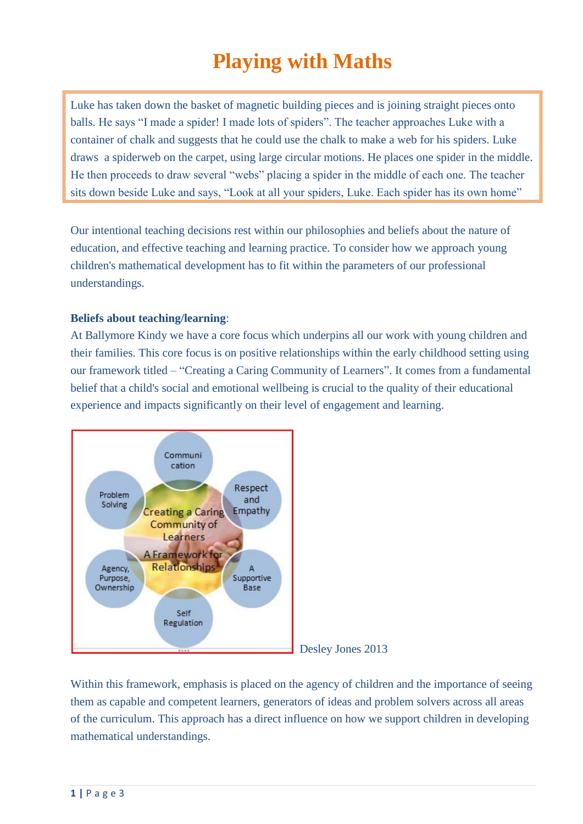# **Playing with Maths**

Luke has taken down the basket of magnetic building pieces and is joining straight pieces onto balls. He says "I made a spider! I made lots of spiders". The teacher approaches Luke with a container of chalk and suggests that he could use the chalk to make a web for his spiders. Luke draws a spiderweb on the carpet, using large circular motions. He places one spider in the middle. He then proceeds to draw several "webs" placing a spider in the middle of each one. The teacher sits down beside Luke and says, "Look at all your spiders, Luke. Each spider has its own home"

Our intentional teaching decisions rest within our philosophies and beliefs about the nature of education, and effective teaching and learning practice. To consider how we approach young children's mathematical development has to fit within the parameters of our professional understandings.

# **Beliefs about teaching/learning**:

At Ballymore Kindy we have a core focus which underpins all our work with young children and their families. This core focus is on positive relationships within the early childhood setting using our framework titled – "Creating a Caring Community of Learners". It comes from a fundamental belief that a child's social and emotional wellbeing is crucial to the quality of their educational experience and impacts significantly on their level of engagement and learning.



Desley Jones 2013

Within this framework, emphasis is placed on the agency of children and the importance of seeing them as capable and competent learners, generators of ideas and problem solvers across all areas of the curriculum. This approach has a direct influence on how we support children in developing mathematical understandings.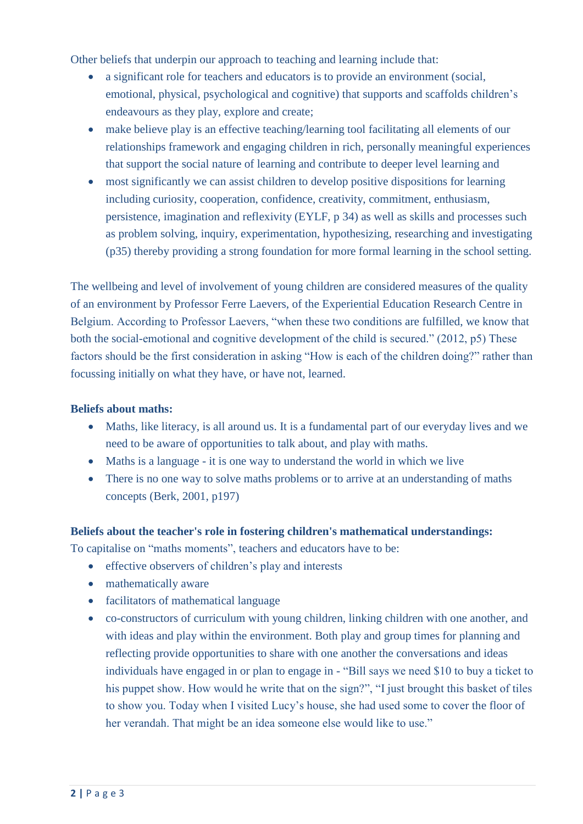Other beliefs that underpin our approach to teaching and learning include that:

- a significant role for teachers and educators is to provide an environment (social, emotional, physical, psychological and cognitive) that supports and scaffolds children's endeavours as they play, explore and create;
- make believe play is an effective teaching/learning tool facilitating all elements of our relationships framework and engaging children in rich, personally meaningful experiences that support the social nature of learning and contribute to deeper level learning and
- most significantly we can assist children to develop positive dispositions for learning including curiosity, cooperation, confidence, creativity, commitment, enthusiasm, persistence, imagination and reflexivity (EYLF, p 34) as well as skills and processes such as problem solving, inquiry, experimentation, hypothesizing, researching and investigating (p35) thereby providing a strong foundation for more formal learning in the school setting.

The wellbeing and level of involvement of young children are considered measures of the quality of an environment by Professor Ferre Laevers, of the Experiential Education Research Centre in Belgium. According to Professor Laevers, "when these two conditions are fulfilled, we know that both the social-emotional and cognitive development of the child is secured." (2012, p5) These factors should be the first consideration in asking "How is each of the children doing?" rather than focussing initially on what they have, or have not, learned.

# **Beliefs about maths:**

- Maths, like literacy, is all around us. It is a fundamental part of our everyday lives and we need to be aware of opportunities to talk about, and play with maths.
- Maths is a language it is one way to understand the world in which we live
- There is no one way to solve maths problems or to arrive at an understanding of maths concepts (Berk, 2001, p197)

### **Beliefs about the teacher's role in fostering children's mathematical understandings:**

To capitalise on "maths moments", teachers and educators have to be:

- effective observers of children's play and interests
- mathematically aware
- facilitators of mathematical language
- co-constructors of curriculum with young children, linking children with one another, and with ideas and play within the environment. Both play and group times for planning and reflecting provide opportunities to share with one another the conversations and ideas individuals have engaged in or plan to engage in - "Bill says we need \$10 to buy a ticket to his puppet show. How would he write that on the sign?", "I just brought this basket of tiles to show you. Today when I visited Lucy's house, she had used some to cover the floor of her verandah. That might be an idea someone else would like to use."